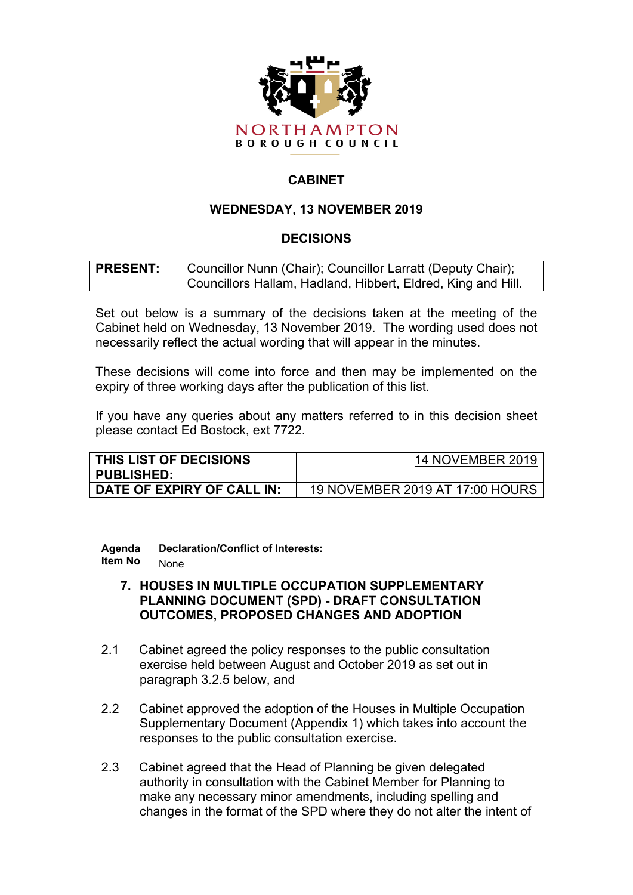

# **CABINET**

## **WEDNESDAY, 13 NOVEMBER 2019**

## **DECISIONS**

#### **PRESENT:** Councillor Nunn (Chair); Councillor Larratt (Deputy Chair); Councillors Hallam, Hadland, Hibbert, Eldred, King and Hill.

Set out below is a summary of the decisions taken at the meeting of the Cabinet held on Wednesday, 13 November 2019. The wording used does not necessarily reflect the actual wording that will appear in the minutes.

These decisions will come into force and then may be implemented on the expiry of three working days after the publication of this list.

If you have any queries about any matters referred to in this decision sheet please contact Ed Bostock, ext 7722.

| THIS LIST OF DECISIONS     | 14 NOVEMBER 2019                |
|----------------------------|---------------------------------|
| <b>PUBLISHED:</b>          |                                 |
| DATE OF EXPIRY OF CALL IN: | 19 NOVEMBER 2019 AT 17:00 HOURS |

**Agenda Item No Declaration/Conflict of Interests:** None

## **7. HOUSES IN MULTIPLE OCCUPATION SUPPLEMENTARY PLANNING DOCUMENT (SPD) - DRAFT CONSULTATION OUTCOMES, PROPOSED CHANGES AND ADOPTION**

- 2.1 Cabinet agreed the policy responses to the public consultation exercise held between August and October 2019 as set out in paragraph 3.2.5 below, and
- 2.2 Cabinet approved the adoption of the Houses in Multiple Occupation Supplementary Document (Appendix 1) which takes into account the responses to the public consultation exercise.
- 2.3 Cabinet agreed that the Head of Planning be given delegated authority in consultation with the Cabinet Member for Planning to make any necessary minor amendments, including spelling and changes in the format of the SPD where they do not alter the intent of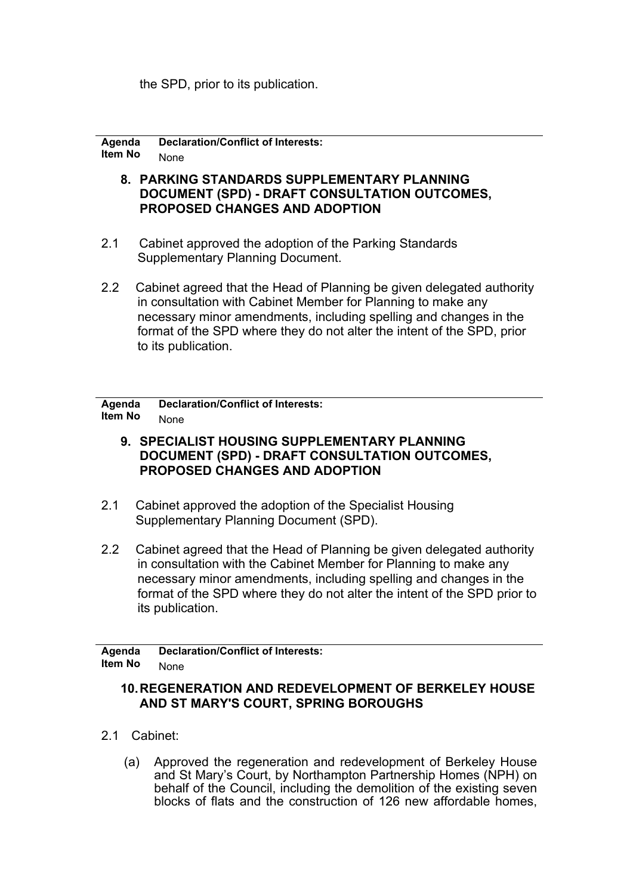the SPD, prior to its publication.

**Agenda Item No Declaration/Conflict of Interests:** None

- **8. PARKING STANDARDS SUPPLEMENTARY PLANNING DOCUMENT (SPD) - DRAFT CONSULTATION OUTCOMES, PROPOSED CHANGES AND ADOPTION**
- 2.1 Cabinet approved the adoption of the Parking Standards Supplementary Planning Document.
- 2.2 Cabinet agreed that the Head of Planning be given delegated authority in consultation with Cabinet Member for Planning to make any necessary minor amendments, including spelling and changes in the format of the SPD where they do not alter the intent of the SPD, prior to its publication.

**Agenda Item No Declaration/Conflict of Interests:** None

- **9. SPECIALIST HOUSING SUPPLEMENTARY PLANNING DOCUMENT (SPD) - DRAFT CONSULTATION OUTCOMES, PROPOSED CHANGES AND ADOPTION**
- 2.1 Cabinet approved the adoption of the Specialist Housing Supplementary Planning Document (SPD).
- 2.2 Cabinet agreed that the Head of Planning be given delegated authority in consultation with the Cabinet Member for Planning to make any necessary minor amendments, including spelling and changes in the format of the SPD where they do not alter the intent of the SPD prior to its publication.

**Agenda Item No Declaration/Conflict of Interests:** None

#### **10.REGENERATION AND REDEVELOPMENT OF BERKELEY HOUSE AND ST MARY'S COURT, SPRING BOROUGHS**

- 2.1 Cabinet:
	- (a) Approved the regeneration and redevelopment of Berkeley House and St Mary's Court, by Northampton Partnership Homes (NPH) on behalf of the Council, including the demolition of the existing seven blocks of flats and the construction of 126 new affordable homes,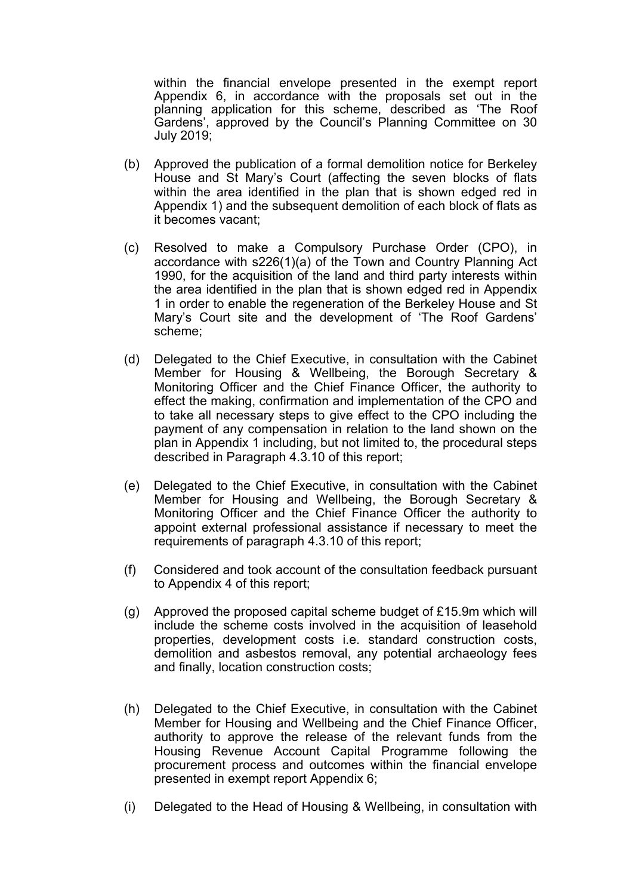within the financial envelope presented in the exempt report Appendix 6, in accordance with the proposals set out in the planning application for this scheme, described as 'The Roof Gardens', approved by the Council's Planning Committee on 30 July 2019;

- (b) Approved the publication of a formal demolition notice for Berkeley House and St Mary's Court (affecting the seven blocks of flats within the area identified in the plan that is shown edged red in Appendix 1) and the subsequent demolition of each block of flats as it becomes vacant;
- (c) Resolved to make a Compulsory Purchase Order (CPO), in accordance with s226(1)(a) of the Town and Country Planning Act 1990, for the acquisition of the land and third party interests within the area identified in the plan that is shown edged red in Appendix 1 in order to enable the regeneration of the Berkeley House and St Mary's Court site and the development of 'The Roof Gardens' scheme;
- (d) Delegated to the Chief Executive, in consultation with the Cabinet Member for Housing & Wellbeing, the Borough Secretary & Monitoring Officer and the Chief Finance Officer, the authority to effect the making, confirmation and implementation of the CPO and to take all necessary steps to give effect to the CPO including the payment of any compensation in relation to the land shown on the plan in Appendix 1 including, but not limited to, the procedural steps described in Paragraph 4.3.10 of this report;
- (e) Delegated to the Chief Executive, in consultation with the Cabinet Member for Housing and Wellbeing, the Borough Secretary & Monitoring Officer and the Chief Finance Officer the authority to appoint external professional assistance if necessary to meet the requirements of paragraph 4.3.10 of this report;
- (f) Considered and took account of the consultation feedback pursuant to Appendix 4 of this report;
- (g) Approved the proposed capital scheme budget of £15.9m which will include the scheme costs involved in the acquisition of leasehold properties, development costs i.e. standard construction costs, demolition and asbestos removal, any potential archaeology fees and finally, location construction costs;
- (h) Delegated to the Chief Executive, in consultation with the Cabinet Member for Housing and Wellbeing and the Chief Finance Officer, authority to approve the release of the relevant funds from the Housing Revenue Account Capital Programme following the procurement process and outcomes within the financial envelope presented in exempt report Appendix 6;
- (i) Delegated to the Head of Housing & Wellbeing, in consultation with